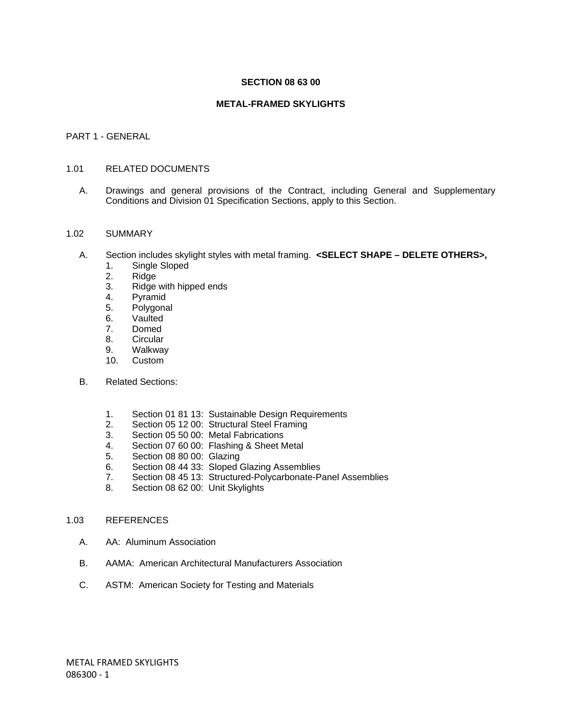#### **SECTION 08 63 00**

### **METAL-FRAMED SKYLIGHTS**

#### PART 1 - GENERAL

#### 1.01 RELATED DOCUMENTS

A. Drawings and general provisions of the Contract, including General and Supplementary Conditions and Division 01 Specification Sections, apply to this Section.

#### 1.02 SUMMARY

- A. Section includes skylight styles with metal framing. **<SELECT SHAPE DELETE OTHERS>,**
	- 1. Single Sloped
	- 2. Ridge
	- 3. Ridge with hipped ends
	- 4. Pyramid
	- 5. Polygonal
	- 6. Vaulted
	- 7. Domed
	- 8. Circular
	- 9. Walkway
	- 10. Custom
- B. Related Sections:
	- 1. Section 01 81 13: Sustainable Design Requirements
	- 2. Section 05 12 00: Structural Steel Framing
	- 3. Section 05 50 00: Metal Fabrications
	- 4. Section 07 60 00: Flashing & Sheet Metal
	- 5. Section 08 80 00: Glazing
	- 6. Section 08 44 33: Sloped Glazing Assemblies
	- 7. Section 08 45 13: Structured-Polycarbonate-Panel Assemblies
	- 8. Section 08 62 00: Unit Skylights

#### 1.03 REFERENCES

- A. AA: Aluminum Association
- B. AAMA: American Architectural Manufacturers Association
- C. ASTM: American Society for Testing and Materials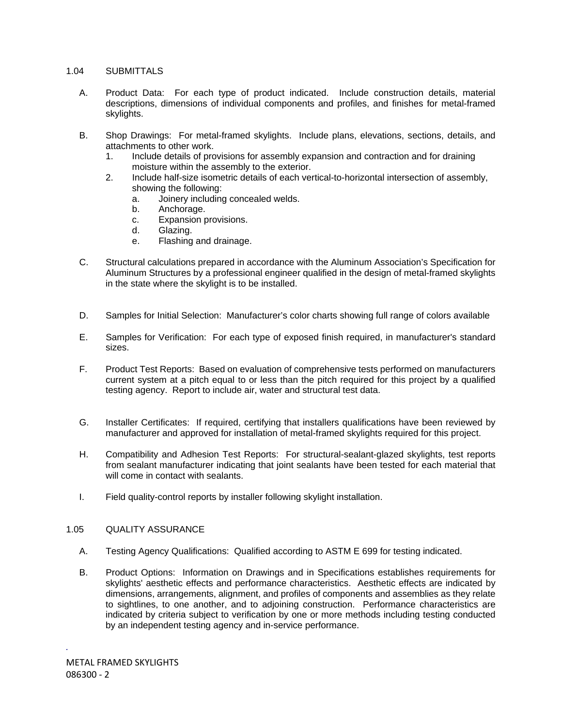### 1.04 SUBMITTALS

- A. Product Data: For each type of product indicated. Include construction details, material descriptions, dimensions of individual components and profiles, and finishes for metal-framed skylights.
- B. Shop Drawings: For metal-framed skylights. Include plans, elevations, sections, details, and attachments to other work.
	- 1. Include details of provisions for assembly expansion and contraction and for draining moisture within the assembly to the exterior.
	- 2. Include half-size isometric details of each vertical-to-horizontal intersection of assembly, showing the following:
		- a. Joinery including concealed welds.
		- b. Anchorage.
		- c. Expansion provisions.
		- d. Glazing.
		- e. Flashing and drainage.
- C. Structural calculations prepared in accordance with the Aluminum Association's Specification for Aluminum Structures by a professional engineer qualified in the design of metal-framed skylights in the state where the skylight is to be installed.
- D. Samples for Initial Selection: Manufacturer's color charts showing full range of colors available
- E. Samples for Verification: For each type of exposed finish required, in manufacturer's standard sizes.
- F. Product Test Reports: Based on evaluation of comprehensive tests performed on manufacturers current system at a pitch equal to or less than the pitch required for this project by a qualified testing agency. Report to include air, water and structural test data.
- G. Installer Certificates: If required, certifying that installers qualifications have been reviewed by manufacturer and approved for installation of metal-framed skylights required for this project.
- H. Compatibility and Adhesion Test Reports: For structural-sealant-glazed skylights, test reports from sealant manufacturer indicating that joint sealants have been tested for each material that will come in contact with sealants.
- I. Field quality-control reports by installer following skylight installation.

#### 1.05 QUALITY ASSURANCE

- A. Testing Agency Qualifications: Qualified according to ASTM E 699 for testing indicated.
- B. Product Options: Information on Drawings and in Specifications establishes requirements for skylights' aesthetic effects and performance characteristics. Aesthetic effects are indicated by dimensions, arrangements, alignment, and profiles of components and assemblies as they relate to sightlines, to one another, and to adjoining construction. Performance characteristics are indicated by criteria subject to verification by one or more methods including testing conducted by an independent testing agency and in-service performance.

*.*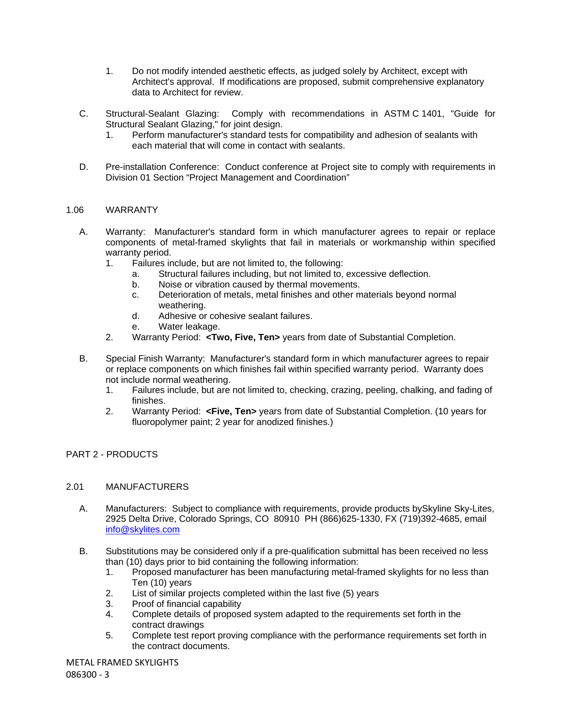- 1. Do not modify intended aesthetic effects, as judged solely by Architect, except with Architect's approval. If modifications are proposed, submit comprehensive explanatory data to Architect for review.
- C. Structural-Sealant Glazing: Comply with recommendations in ASTM C 1401, "Guide for Structural Sealant Glazing," for joint design.
	- 1. Perform manufacturer's standard tests for compatibility and adhesion of sealants with each material that will come in contact with sealants.
- D. Pre-installation Conference: Conduct conference at Project site to comply with requirements in Division 01 Section "Project Management and Coordination"

### 1.06 WARRANTY

- A. Warranty: Manufacturer's standard form in which manufacturer agrees to repair or replace components of metal-framed skylights that fail in materials or workmanship within specified warranty period.
	- 1. Failures include, but are not limited to, the following:
		- a. Structural failures including, but not limited to, excessive deflection.
		- b. Noise or vibration caused by thermal movements.
		- c. Deterioration of metals, metal finishes and other materials beyond normal weathering.
		- d. Adhesive or cohesive sealant failures.
		- e. Water leakage.
	- 2. Warranty Period: **<Two, Five, Ten>** years from date of Substantial Completion.
- B. Special Finish Warranty: Manufacturer's standard form in which manufacturer agrees to repair or replace components on which finishes fail within specified warranty period. Warranty does not include normal weathering.
	- 1. Failures include, but are not limited to, checking, crazing, peeling, chalking, and fading of finishes.
	- 2. Warranty Period: **<Five, Ten>** years from date of Substantial Completion. (10 years for fluoropolymer paint; 2 year for anodized finishes.)

## PART 2 - PRODUCTS

#### 2.01 MANUFACTURERS

- A. Manufacturers: Subject to compliance with requirements, provide products bySkyline Sky-Lites, 2925 Delta Drive, Colorado Springs, CO 80910 PH (866)625-1330, FX (719)392-4685, email info@skylites.com
- B. Substitutions may be considered only if a pre-qualification submittal has been received no less than (10) days prior to bid containing the following information:
	- 1. Proposed manufacturer has been manufacturing metal-framed skylights for no less than Ten (10) years
	- 2. List of similar projects completed within the last five (5) years
	- 3. Proof of financial capability
	- 4. Complete details of proposed system adapted to the requirements set forth in the contract drawings
	- 5. Complete test report proving compliance with the performance requirements set forth in the contract documents.

METAL FRAMED SKYLIGHTS

086300 - 3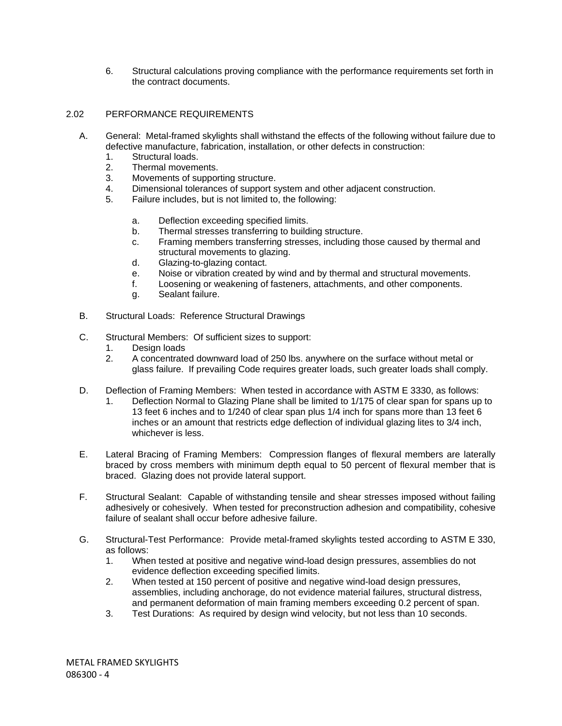6. Structural calculations proving compliance with the performance requirements set forth in the contract documents.

## 2.02 PERFORMANCE REQUIREMENTS

- A. General: Metal-framed skylights shall withstand the effects of the following without failure due to defective manufacture, fabrication, installation, or other defects in construction:
	- 1. Structural loads.
	- 2. Thermal movements.
	- 3. Movements of supporting structure.
	- 4. Dimensional tolerances of support system and other adjacent construction.
	- 5. Failure includes, but is not limited to, the following:
		- a. Deflection exceeding specified limits.
		- b. Thermal stresses transferring to building structure.
		- c. Framing members transferring stresses, including those caused by thermal and structural movements to glazing.
		- d. Glazing-to-glazing contact.
		- e. Noise or vibration created by wind and by thermal and structural movements.
		- f. Loosening or weakening of fasteners, attachments, and other components.
		- g. Sealant failure.
- B. Structural Loads: Reference Structural Drawings
- C. Structural Members: Of sufficient sizes to support:
	- 1. Design loads
	- 2. A concentrated downward load of 250 lbs. anywhere on the surface without metal or glass failure. If prevailing Code requires greater loads, such greater loads shall comply.
- D. Deflection of Framing Members: When tested in accordance with ASTM E 3330, as follows:
	- 1. Deflection Normal to Glazing Plane shall be limited to 1/175 of clear span for spans up to 13 feet 6 inches and to 1/240 of clear span plus 1/4 inch for spans more than 13 feet 6 inches or an amount that restricts edge deflection of individual glazing lites to 3/4 inch, whichever is less.
- E. Lateral Bracing of Framing Members: Compression flanges of flexural members are laterally braced by cross members with minimum depth equal to 50 percent of flexural member that is braced. Glazing does not provide lateral support.
- F. Structural Sealant: Capable of withstanding tensile and shear stresses imposed without failing adhesively or cohesively. When tested for preconstruction adhesion and compatibility, cohesive failure of sealant shall occur before adhesive failure.
- G. Structural-Test Performance: Provide metal-framed skylights tested according to ASTM E 330, as follows:
	- 1. When tested at positive and negative wind-load design pressures, assemblies do not evidence deflection exceeding specified limits.
	- 2. When tested at 150 percent of positive and negative wind-load design pressures, assemblies, including anchorage, do not evidence material failures, structural distress, and permanent deformation of main framing members exceeding 0.2 percent of span.
	- 3. Test Durations: As required by design wind velocity, but not less than 10 seconds.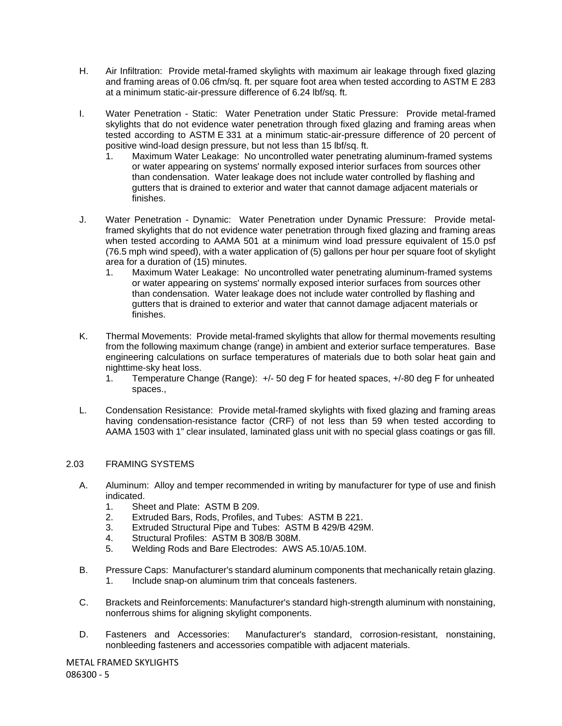- H. Air Infiltration: Provide metal-framed skylights with maximum air leakage through fixed glazing and framing areas of 0.06 cfm/sq. ft. per square foot area when tested according to ASTM E 283 at a minimum static-air-pressure difference of 6.24 lbf/sq. ft.
- I. Water Penetration Static: Water Penetration under Static Pressure: Provide metal-framed skylights that do not evidence water penetration through fixed glazing and framing areas when tested according to ASTM E 331 at a minimum static-air-pressure difference of 20 percent of positive wind-load design pressure, but not less than 15 lbf/sq. ft.
	- 1. Maximum Water Leakage: No uncontrolled water penetrating aluminum-framed systems or water appearing on systems' normally exposed interior surfaces from sources other than condensation. Water leakage does not include water controlled by flashing and gutters that is drained to exterior and water that cannot damage adjacent materials or finishes.
- J. Water Penetration Dynamic: Water Penetration under Dynamic Pressure: Provide metalframed skylights that do not evidence water penetration through fixed glazing and framing areas when tested according to AAMA 501 at a minimum wind load pressure equivalent of 15.0 psf (76.5 mph wind speed), with a water application of (5) gallons per hour per square foot of skylight area for a duration of (15) minutes.
	- 1. Maximum Water Leakage: No uncontrolled water penetrating aluminum-framed systems or water appearing on systems' normally exposed interior surfaces from sources other than condensation. Water leakage does not include water controlled by flashing and gutters that is drained to exterior and water that cannot damage adjacent materials or finishes.
- K. Thermal Movements: Provide metal-framed skylights that allow for thermal movements resulting from the following maximum change (range) in ambient and exterior surface temperatures. Base engineering calculations on surface temperatures of materials due to both solar heat gain and nighttime-sky heat loss.
	- 1. Temperature Change (Range): +/- 50 deg F for heated spaces, +/-80 deg F for unheated spaces.,
- L. Condensation Resistance: Provide metal-framed skylights with fixed glazing and framing areas having condensation-resistance factor (CRF) of not less than 59 when tested according to AAMA 1503 with 1" clear insulated, laminated glass unit with no special glass coatings or gas fill.

## 2.03 FRAMING SYSTEMS

- A. Aluminum: Alloy and temper recommended in writing by manufacturer for type of use and finish indicated.
	- 1. Sheet and Plate: ASTM B 209.
	- 2. Extruded Bars, Rods, Profiles, and Tubes: ASTM B 221.
	- 3. Extruded Structural Pipe and Tubes: ASTM B 429/B 429M.
	- 4. Structural Profiles: ASTM B 308/B 308M.
	- 5. Welding Rods and Bare Electrodes: AWS A5.10/A5.10M.
- B. Pressure Caps: Manufacturer's standard aluminum components that mechanically retain glazing. 1. Include snap-on aluminum trim that conceals fasteners.
- C. Brackets and Reinforcements: Manufacturer's standard high-strength aluminum with nonstaining, nonferrous shims for aligning skylight components.
- D. Fasteners and Accessories: Manufacturer's standard, corrosion-resistant, nonstaining, nonbleeding fasteners and accessories compatible with adjacent materials.

METAL FRAMED SKYLIGHTS 086300 - 5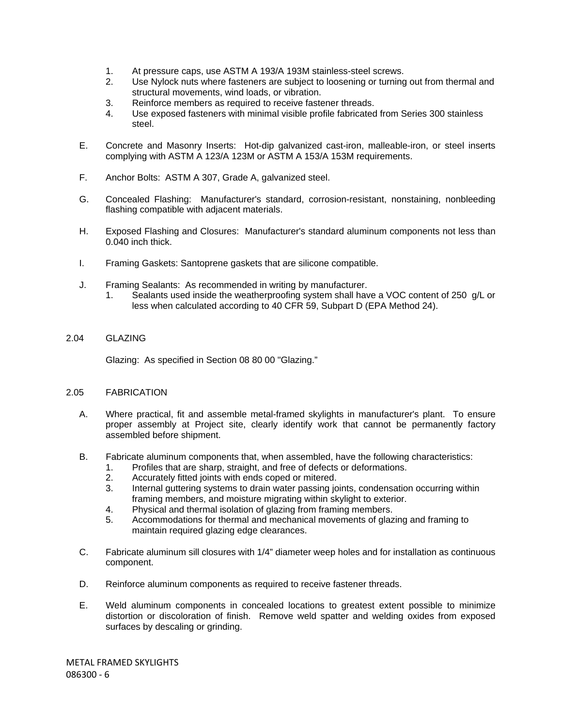- 1. At pressure caps, use ASTM A 193/A 193M stainless-steel screws.
- 2. Use Nylock nuts where fasteners are subject to loosening or turning out from thermal and structural movements, wind loads, or vibration.
- 3. Reinforce members as required to receive fastener threads.
- 4. Use exposed fasteners with minimal visible profile fabricated from Series 300 stainless steel.
- E. Concrete and Masonry Inserts: Hot-dip galvanized cast-iron, malleable-iron, or steel inserts complying with ASTM A 123/A 123M or ASTM A 153/A 153M requirements.
- F. Anchor Bolts: ASTM A 307, Grade A, galvanized steel.
- G. Concealed Flashing: Manufacturer's standard, corrosion-resistant, nonstaining, nonbleeding flashing compatible with adjacent materials.
- H. Exposed Flashing and Closures: Manufacturer's standard aluminum components not less than 0.040 inch thick.
- I. Framing Gaskets: Santoprene gaskets that are silicone compatible.
- J. Framing Sealants: As recommended in writing by manufacturer.
	- 1. Sealants used inside the weatherproofing system shall have a VOC content of 250 g/L or less when calculated according to 40 CFR 59, Subpart D (EPA Method 24).
- 2.04 GLAZING

Glazing: As specified in Section 08 80 00 "Glazing."

### 2.05 FABRICATION

- A. Where practical, fit and assemble metal-framed skylights in manufacturer's plant. To ensure proper assembly at Project site, clearly identify work that cannot be permanently factory assembled before shipment.
- B. Fabricate aluminum components that, when assembled, have the following characteristics:
	- 1. Profiles that are sharp, straight, and free of defects or deformations.
	- 2. Accurately fitted joints with ends coped or mitered.
	- 3. Internal guttering systems to drain water passing joints, condensation occurring within framing members, and moisture migrating within skylight to exterior.
	- 4. Physical and thermal isolation of glazing from framing members.
	- 5. Accommodations for thermal and mechanical movements of glazing and framing to maintain required glazing edge clearances.
- C. Fabricate aluminum sill closures with 1/4" diameter weep holes and for installation as continuous component.
- D. Reinforce aluminum components as required to receive fastener threads.
- E. Weld aluminum components in concealed locations to greatest extent possible to minimize distortion or discoloration of finish. Remove weld spatter and welding oxides from exposed surfaces by descaling or grinding.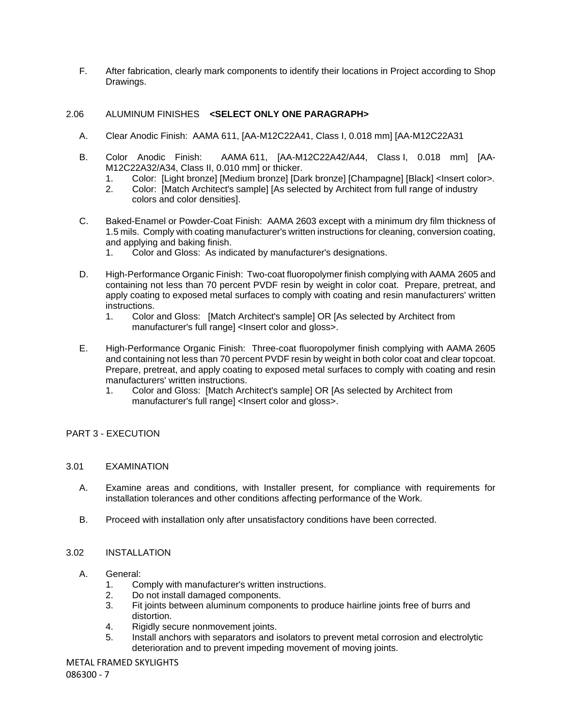F. After fabrication, clearly mark components to identify their locations in Project according to Shop Drawings.

### 2.06 ALUMINUM FINISHES **<SELECT ONLY ONE PARAGRAPH>**

- A. Clear Anodic Finish: AAMA 611, [AA-M12C22A41, Class I, 0.018 mm] [AA-M12C22A31
- B. Color Anodic Finish: AAMA 611, [AA-M12C22A42/A44, Class I, 0.018 mm] [AA-M12C22A32/A34, Class II, 0.010 mm] or thicker.
	- 1. Color: [Light bronze] [Medium bronze] [Dark bronze] [Champagne] [Black] <Insert color>.
	- 2. Color: [Match Architect's sample] [As selected by Architect from full range of industry colors and color densities].
- C. Baked-Enamel or Powder-Coat Finish: AAMA 2603 except with a minimum dry film thickness of 1.5 mils. Comply with coating manufacturer's written instructions for cleaning, conversion coating, and applying and baking finish.
	- 1. Color and Gloss: As indicated by manufacturer's designations.
- D. High-Performance Organic Finish: Two-coat fluoropolymer finish complying with AAMA 2605 and containing not less than 70 percent PVDF resin by weight in color coat. Prepare, pretreat, and apply coating to exposed metal surfaces to comply with coating and resin manufacturers' written instructions.
	- 1. Color and Gloss: [Match Architect's sample] OR [As selected by Architect from manufacturer's full range] <Insert color and gloss>.
- E. High-Performance Organic Finish: Three-coat fluoropolymer finish complying with AAMA 2605 and containing not less than 70 percent PVDF resin by weight in both color coat and clear topcoat. Prepare, pretreat, and apply coating to exposed metal surfaces to comply with coating and resin manufacturers' written instructions.
	- 1. Color and Gloss: [Match Architect's sample] OR [As selected by Architect from manufacturer's full range] <lnsert color and gloss>.

## PART 3 - EXECUTION

#### 3.01 EXAMINATION

- A. Examine areas and conditions, with Installer present, for compliance with requirements for installation tolerances and other conditions affecting performance of the Work.
- B. Proceed with installation only after unsatisfactory conditions have been corrected.

#### 3.02 INSTALLATION

- A. General:
	- 1. Comply with manufacturer's written instructions.
	- 2. Do not install damaged components.
	- 3. Fit joints between aluminum components to produce hairline joints free of burrs and distortion.
	- 4. Rigidly secure nonmovement joints.
	- 5. Install anchors with separators and isolators to prevent metal corrosion and electrolytic deterioration and to prevent impeding movement of moving joints.

METAL FRAMED SKYLIGHTS

086300 - 7